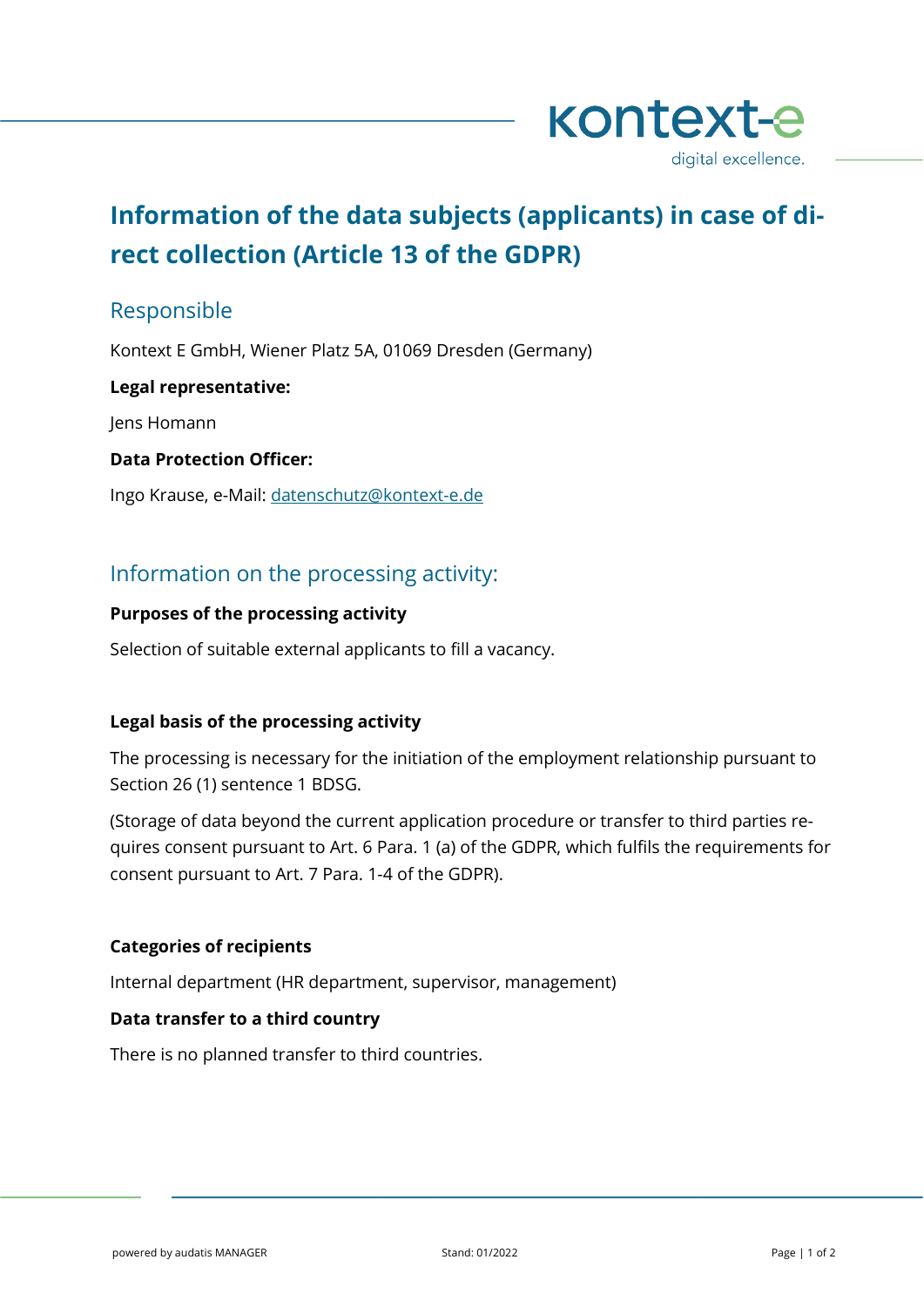

# **Information of the data subjects (applicants) in case of direct collection (Article 13 of the GDPR)**

# Responsible

Kontext E GmbH, Wiener Platz 5A, 01069 Dresden (Germany)

## **Legal representative:**

Jens Homann

## **Data Protection Officer:**

Ingo Krause, e-Mail: [datenschutz@kontext-e.de](mailto:datenschutz@kontext-e.de)

# Information on the processing activity:

## **Purposes of the processing activity**

Selection of suitable external applicants to fill a vacancy.

# **Legal basis of the processing activity**

The processing is necessary for the initiation of the employment relationship pursuant to Section 26 (1) sentence 1 BDSG.

(Storage of data beyond the current application procedure or transfer to third parties requires consent pursuant to Art. 6 Para. 1 (a) of the GDPR, which fulfils the requirements for consent pursuant to Art. 7 Para. 1-4 of the GDPR).

# **Categories of recipients**

Internal department (HR department, supervisor, management)

# **Data transfer to a third country**

There is no planned transfer to third countries.